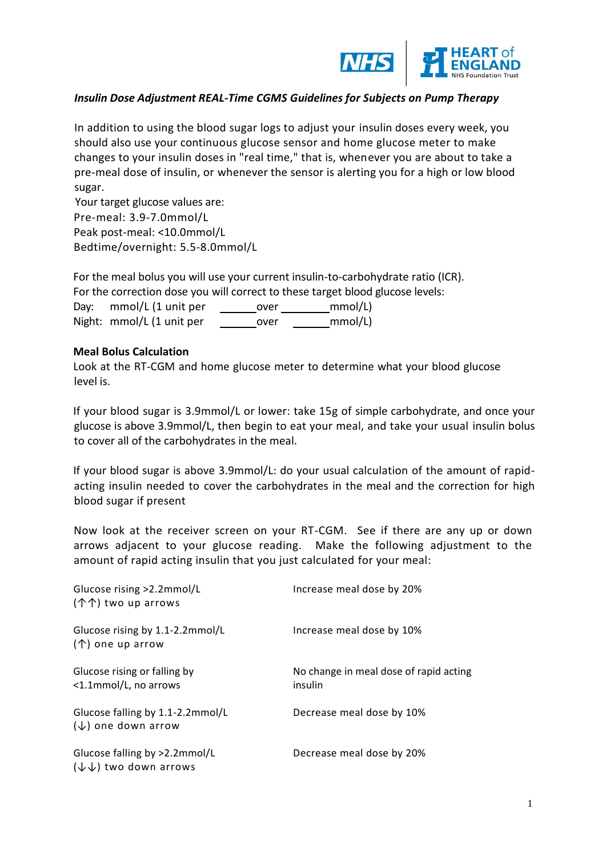

### *Insulin Dose Adjustment REAL-Time CGMS Guidelines for Subjects on Pump Therapy*

In addition to using the blood sugar logs to adjust your insulin doses every week, you should also use your continuous glucose sensor and home glucose meter to make changes to your insulin doses in "real time," that is, whenever you are about to take a pre-meal dose of insulin, or whenever the sensor is alerting you for a high or low blood sugar.

Your target glucose values are: Pre-meal: 3.9-7.0mmol/L Peak post-meal: <10.0mmol/L Bedtime/overnight: 5.5-8.0mmol/L

For the meal bolus you will use your current insulin-to-carbohydrate ratio (ICR).

For the correction dose you will correct to these target blood glucose levels:

Day: mmol/L (1 unit per \_\_\_\_\_\_\_\_\_over \_\_\_\_\_\_\_\_\_\_\_\_mmol/L) Night: mmol/L (1 unit per over mmol/L)

#### **Meal Bolus Calculation**

Look at the RT-CGM and home glucose meter to determine what your blood glucose level is.

If your blood sugar is 3.9mmol/L or lower: take 15g of simple carbohydrate, and once your glucose is above 3.9mmol/L, then begin to eat your meal, and take your usual insulin bolus to cover all of the carbohydrates in the meal.

If your blood sugar is above 3.9mmol/L: do your usual calculation of the amount of rapidacting insulin needed to cover the carbohydrates in the meal and the correction for high blood sugar if present

Now look at the receiver screen on your RT-CGM. See if there are any up or down arrows adjacent to your glucose reading. Make the following adjustment to the amount of rapid acting insulin that you just calculated for your meal:

| Glucose rising >2.2mmol/L<br>$($ $\uparrow$ $\uparrow$ $)$ two up arrows   | Increase meal dose by 20%                         |
|----------------------------------------------------------------------------|---------------------------------------------------|
| Glucose rising by 1.1-2.2mmol/L<br>$(\uparrow)$ one up arrow               | Increase meal dose by 10%                         |
| Glucose rising or falling by<br><1.1mmol/L, no arrows                      | No change in meal dose of rapid acting<br>insulin |
| Glucose falling by 1.1-2.2mmol/L<br>$(\downarrow)$ one down arrow          | Decrease meal dose by 10%                         |
| Glucose falling by >2.2mmol/L<br>$(\downarrow \downarrow)$ two down arrows | Decrease meal dose by 20%                         |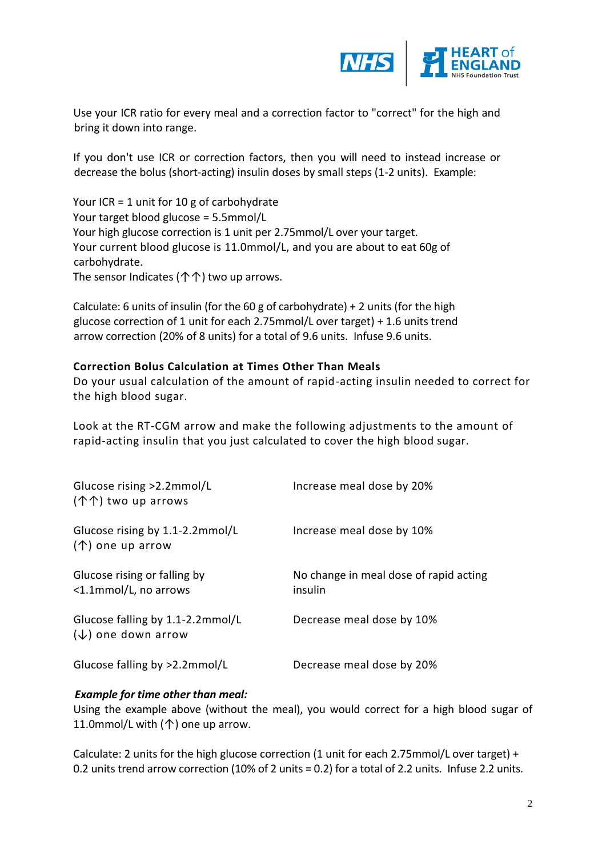

Use your ICR ratio for every meal and a correction factor to "correct" for the high and bring it down into range.

If you don't use ICR or correction factors, then you will need to instead increase or decrease the bolus (short-acting) insulin doses by small steps (1-2 units). Example:

Your ICR = 1 unit for 10 g of carbohydrate Your target blood glucose = 5.5mmol/L Your high glucose correction is 1 unit per 2.75mmol/L over your target. Your current blood glucose is 11.0mmol/L, and you are about to eat 60g of carbohydrate. The sensor Indicates ( $\uparrow \uparrow$ ) two up arrows.

Calculate: 6 units of insulin (for the 60 g of carbohydrate) + 2 units (for the high glucose correction of 1 unit for each 2.75mmol/L over target) + 1.6 units trend arrow correction (20% of 8 units) for a total of 9.6 units. Infuse 9.6 units.

#### **Correction Bolus Calculation at Times Other Than Meals**

Do your usual calculation of the amount of rapid-acting insulin needed to correct for the high blood sugar.

Look at the RT-CGM arrow and make the following adjustments to the amount of rapid-acting insulin that you just calculated to cover the high blood sugar.

| Glucose rising >2.2mmol/L<br>$($ 个个) two up arrows                | Increase meal dose by 20%                         |
|-------------------------------------------------------------------|---------------------------------------------------|
| Glucose rising by 1.1-2.2mmol/L<br>$($ $\uparrow$ ) one up arrow  | Increase meal dose by 10%                         |
| Glucose rising or falling by<br><1.1mmol/L, no arrows             | No change in meal dose of rapid acting<br>insulin |
| Glucose falling by 1.1-2.2mmol/L<br>$(\downarrow)$ one down arrow | Decrease meal dose by 10%                         |
| Glucose falling by >2.2mmol/L                                     | Decrease meal dose by 20%                         |

#### *Example for time other than meal:*

Using the example above (without the meal), you would correct for a high blood sugar of 11.0mmol/L with  $($ <sup> $\uparrow$ </sup>) one up arrow.

Calculate: 2 units for the high glucose correction (1 unit for each 2.75mmol/L over target) + 0.2 units trend arrow correction (10% of 2 units = 0.2) for a total of 2.2 units. Infuse 2.2 units.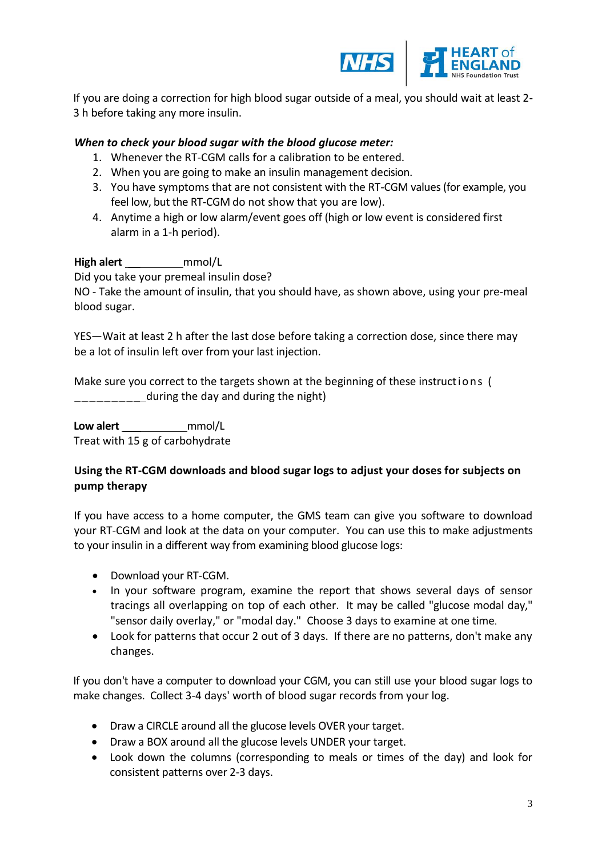

If you are doing a correction for high blood sugar outside of a meal, you should wait at least 2- 3 h before taking any more insulin.

### *When to check your blood sugar with the blood glucose meter:*

- 1. Whenever the RT-CGM calls for a calibration to be entered.
- 2. When you are going to make an insulin management decision.
- 3. You have symptoms that are not consistent with the RT-CGM values (for example, you feel low, but the RT-CGM do not show that you are low).
- 4. Anytime a high or low alarm/event goes off (high or low event is considered first alarm in a 1-h period).

#### **High alert** \_\_ mmol/L

Did you take your premeal insulin dose? NO - Take the amount of insulin, that you should have, as shown above, using your pre-meal blood sugar.

YES—Wait at least 2 h after the last dose before taking a correction dose, since there may be a lot of insulin left over from your last injection.

Make sure you correct to the targets shown at the beginning of these instruction s ( during the day and during the night)

**Low alert** \_\_\_ mmol/L Treat with 15 g of carbohydrate

### **Using the RT-CGM downloads and blood sugar logs to adjust your doses for subjects on pump therapy**

If you have access to a home computer, the GMS team can give you software to download your RT-CGM and look at the data on your computer. You can use this to make adjustments to your insulin in a different way from examining blood glucose logs:

- Download your RT-CGM.
- In your software program, examine the report that shows several days of sensor tracings all overlapping on top of each other. It may be called "glucose modal day," "sensor daily overlay," or "modal day." Choose 3 days to examine at one time.
- Look for patterns that occur 2 out of 3 days. If there are no patterns, don't make any changes.

If you don't have a computer to download your CGM, you can still use your blood sugar logs to make changes. Collect 3-4 days' worth of blood sugar records from your log.

- Draw a CIRCLE around all the glucose levels OVER your target.
- Draw a BOX around all the glucose levels UNDER your target.
- Look down the columns (corresponding to meals or times of the day) and look for consistent patterns over 2-3 days.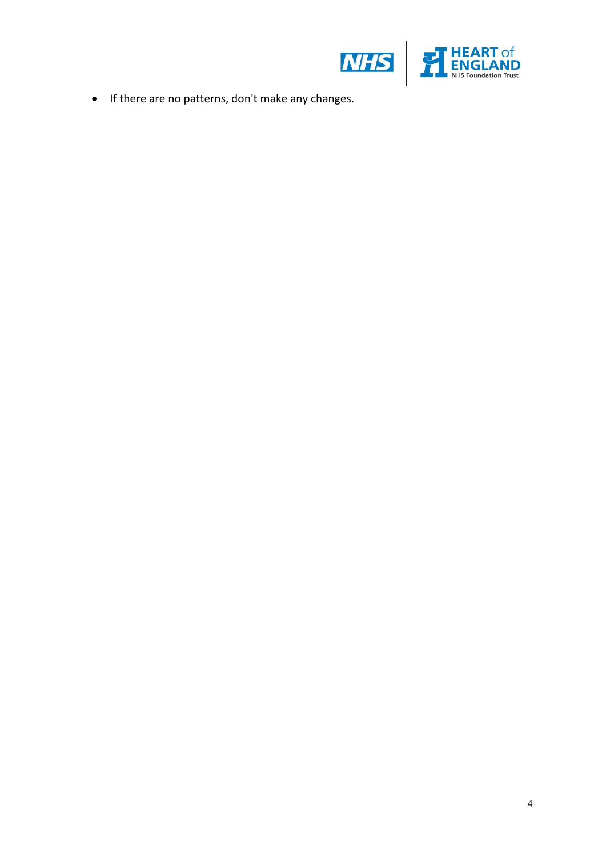

If there are no patterns, don't make any changes.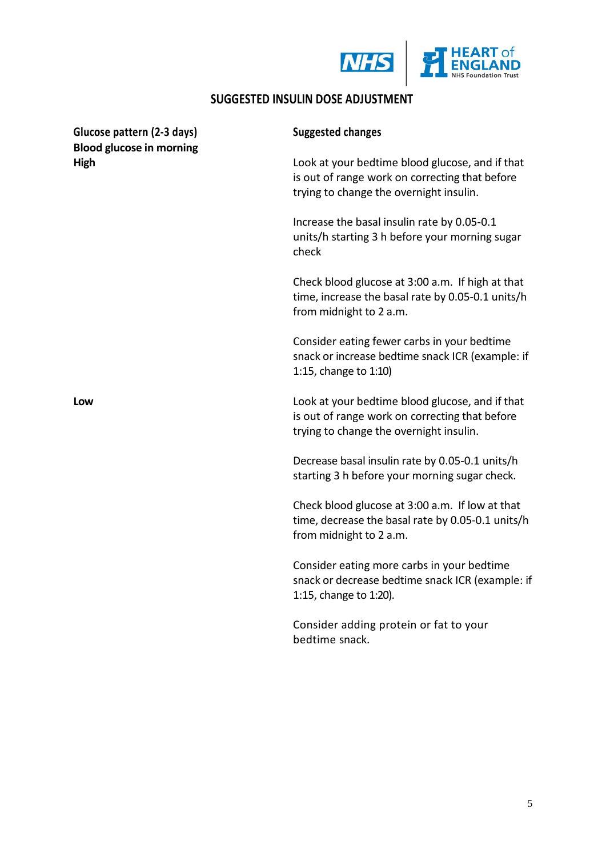

# **SUGGESTED INSULIN DOSE ADJUSTMENT**

| Glucose pattern (2-3 days)<br><b>Blood glucose in morning</b> | <b>Suggested changes</b>                                                                                                                     |
|---------------------------------------------------------------|----------------------------------------------------------------------------------------------------------------------------------------------|
| <b>High</b>                                                   | Look at your bedtime blood glucose, and if that<br>is out of range work on correcting that before<br>trying to change the overnight insulin. |
|                                                               | Increase the basal insulin rate by 0.05-0.1<br>units/h starting 3 h before your morning sugar<br>check                                       |
|                                                               | Check blood glucose at 3:00 a.m. If high at that<br>time, increase the basal rate by 0.05-0.1 units/h<br>from midnight to 2 a.m.             |
|                                                               | Consider eating fewer carbs in your bedtime<br>snack or increase bedtime snack ICR (example: if<br>1:15, change to 1:10)                     |
| Low                                                           | Look at your bedtime blood glucose, and if that<br>is out of range work on correcting that before<br>trying to change the overnight insulin. |
|                                                               | Decrease basal insulin rate by 0.05-0.1 units/h<br>starting 3 h before your morning sugar check.                                             |
|                                                               | Check blood glucose at 3:00 a.m. If low at that<br>time, decrease the basal rate by 0.05-0.1 units/h<br>from midnight to 2 a.m.              |
|                                                               | Consider eating more carbs in your bedtime<br>snack or decrease bedtime snack ICR (example: if<br>1:15, change to 1:20).                     |
|                                                               | Consider adding protein or fat to your<br>bedtime snack.                                                                                     |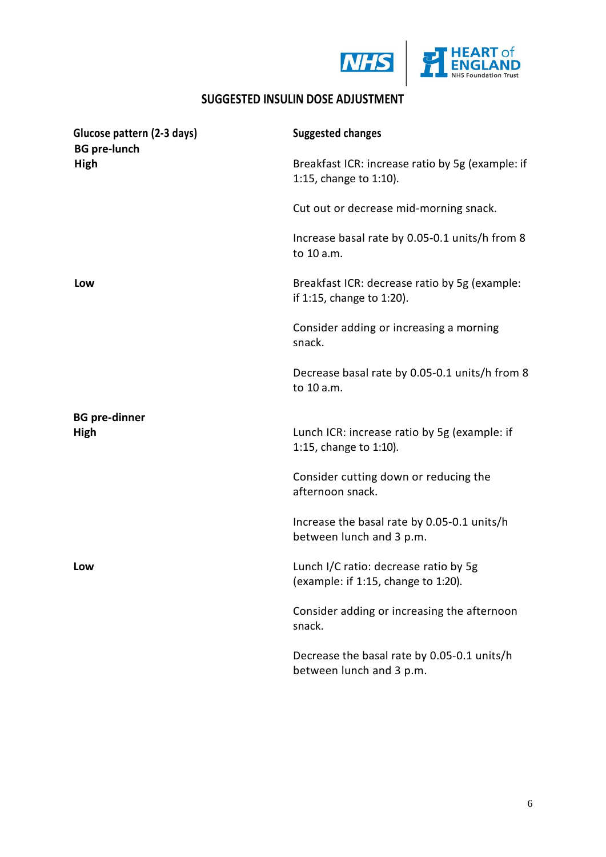

# **SUGGESTED INSULIN DOSE ADJUSTMENT**

| Glucose pattern (2-3 days)<br><b>BG</b> pre-lunch | <b>Suggested changes</b>                                                     |
|---------------------------------------------------|------------------------------------------------------------------------------|
| High                                              | Breakfast ICR: increase ratio by 5g (example: if<br>1:15, change to 1:10).   |
|                                                   | Cut out or decrease mid-morning snack.                                       |
|                                                   | Increase basal rate by 0.05-0.1 units/h from 8<br>to 10 a.m.                 |
| Low                                               | Breakfast ICR: decrease ratio by 5g (example:<br>if 1:15, change to 1:20).   |
|                                                   | Consider adding or increasing a morning<br>snack.                            |
|                                                   | Decrease basal rate by 0.05-0.1 units/h from 8<br>to 10 a.m.                 |
| <b>BG</b> pre-dinner                              |                                                                              |
| High                                              | Lunch ICR: increase ratio by 5g (example: if<br>1:15, change to 1:10).       |
|                                                   | Consider cutting down or reducing the<br>afternoon snack.                    |
|                                                   | Increase the basal rate by 0.05-0.1 units/h<br>between lunch and 3 p.m.      |
| Low                                               | Lunch I/C ratio: decrease ratio by 5g<br>(example: if 1:15, change to 1:20). |
|                                                   | Consider adding or increasing the afternoon<br>snack.                        |
|                                                   | Decrease the basal rate by 0.05-0.1 units/h<br>between lunch and 3 p.m.      |